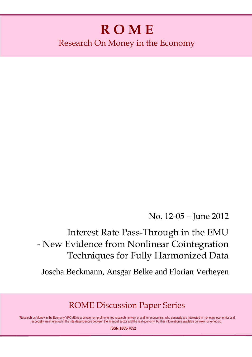# **R O M E** Research On Money in the Economy

No. 12-05 – June 2012

Interest Rate Pass-Through in the EMU - New Evidence from Nonlinear Cointegration Techniques for Fully Harmonized Data

Joscha Beckmann, Ansgar Belke and Florian Verheyen

ROME Discussion Paper Series

"Research on Money in the Economy" (ROME) is a private non-profit-oriented research network of and for economists, who generally are interested in monetary economics and especially are interested in the interdependences between the financial sector and the real economy. Further information is available on www.rome-net.org.

**ISSN 1865-7052**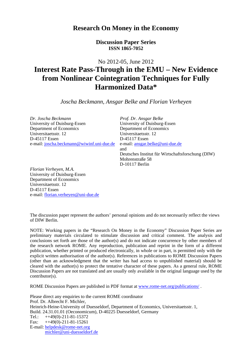# **Research On Money in the Economy**

**Discussion Paper Series ISSN 1865-7052** 

No 2012-05, June 2012

# **Interest Rate Pass-Through in the EMU – New Evidence from Nonlinear Cointegration Techniques for Fully Harmonized Data\***

*Joscha Beckmann, Ansgar Belke and Florian Verheyen* 

*Dr. Joscha Beckmann Prof. Dr. Ansgar Belke*  University of Duisburg-Essen Department of Economics Department of Economics Universitaetsstr. 12<br>
D-45117 Essen<br>
D-45117 Essen<br>
D-45117 Essen e-mail: joscha.beckmann@wiwinf.uni-due.de e-mail: ansgar.belke@uni-due.de

D-45117 Essen and Deutsches Institut für Wirtschaftsforschung (DIW) Mohrenstraße 58 D-10117 Berlin

*Florian Verheyen, M.A.*  University of Duisburg-Essen Department of Economics Universitaetsstr. 12 D-45117 Essen e-mail: florian.verheyen@uni-due.de

The discussion paper represent the authors' personal opinions and do not necessarily reflect the views of DIW Berlin.

NOTE: Working papers in the "Research On Money in the Economy" Discussion Paper Series are preliminary materials circulated to stimulate discussion and critical comment. The analysis and conclusions set forth are those of the author(s) and do not indicate concurrence by other members of the research network ROME. Any reproduction, publication and reprint in the form of a different publication, whether printed or produced electronically, in whole or in part, is permitted only with the explicit written authorisation of the author(s). References in publications to ROME Discussion Papers (other than an acknowledgment that the writer has had access to unpublished material) should be cleared with the author(s) to protect the tentative character of these papers. As a general rule, ROME Discussion Papers are not translated and are usually only available in the original language used by the contributor(s).

ROME Discussion Papers are published in PDF format at www.rome-net.org/publications/ .

Please direct any enquiries to the current ROME coordinator Prof. Dr. Albrecht F. Michler, Heinrich-Heine-University of Duesseldorf, Department of Economics, Universitaetsstr. 1, Build. 24.31.01.01 (Oeconomicum), D-40225 Duesseldorf, Germany Tel.:  $++49(0)-211-81-15372$ Fax: ++49(0)-211-81-15261 E-mail: helpdesk@rome-net.org michler@uni-duesseldorf.de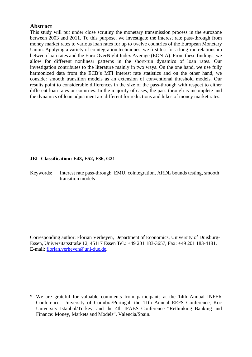# **Abstract**

This study will put under close scrutiny the monetary transmission process in the eurozone between 2003 and 2011. To this purpose, we investigate the interest rate pass-through from money market rates to various loan rates for up to twelve countries of the European Monetary Union. Applying a variety of cointegration techniques, we first test for a long-run relationship between loan rates and the Euro OverNight Index Average (EONIA). From these findings, we allow for different nonlinear patterns in the short-run dynamics of loan rates. Our investigation contributes to the literature mainly in two ways. On the one hand, we use fully harmonized data from the ECB's MFI interest rate statistics and on the other hand, we consider smooth transition models as an extension of conventional threshold models. Our results point to considerable differences in the size of the pass-through with respect to either different loan rates or countries. In the majority of cases, the pass-through is incomplete and the dynamics of loan adjustment are different for reductions and hikes of money market rates.

# **JEL-Classification: E43, E52, F36, G21**

Keywords: Interest rate pass-through, EMU, cointegration, ARDL bounds testing, smooth transition models

Corresponding author: Florian Verheyen, Department of Economics, University of Duisburg-Essen, Universitätsstraße 12, 45117 Essen Tel.: +49 201 183-3657, Fax: +49 201 183-4181, E-mail: florian.verheyen@uni-due.de.

<sup>\*</sup> We are grateful for valuable comments from participants at the 14th Annual INFER Conference, University of Coimbra/Portugal, the 11th Annual EEFS Conference, Koç University Istanbul/Turkey, and the 4th IFABS Conference "Rethinking Banking and Finance: Money, Markets and Models", Valencia/Spain.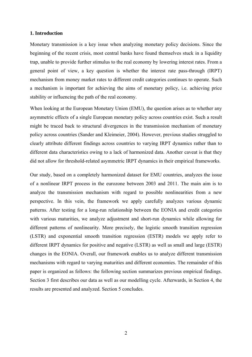## **1. Introduction**

Monetary transmission is a key issue when analyzing monetary policy decisions. Since the beginning of the recent crisis, most central banks have found themselves stuck in a liquidity trap, unable to provide further stimulus to the real economy by lowering interest rates. From a general point of view, a key question is whether the interest rate pass-through (IRPT) mechanism from money market rates to different credit categories continues to operate. Such a mechanism is important for achieving the aims of monetary policy, i.e. achieving price stability or influencing the path of the real economy.

When looking at the European Monetary Union (EMU), the question arises as to whether any asymmetric effects of a single European monetary policy across countries exist. Such a result might be traced back to structural divergences in the transmission mechanism of monetary policy across countries (Sander and Kleimeier, 2004). However, previous studies struggled to clearly attribute different findings across countries to varying IRPT dynamics rather than to different data characteristics owing to a lack of harmonized data. Another caveat is that they did not allow for threshold-related asymmetric IRPT dynamics in their empirical frameworks.

Our study, based on a completely harmonized dataset for EMU countries, analyzes the issue of a nonlinear IRPT process in the eurozone between 2003 and 2011. The main aim is to analyze the transmission mechanism with regard to possible nonlinearities from a new perspective. In this vein, the framework we apply carefully analyzes various dynamic patterns. After testing for a long-run relationship between the EONIA and credit categories with various maturities, we analyze adjustment and short-run dynamics while allowing for different patterns of nonlinearity. More precisely, the logistic smooth transition regression (LSTR) and exponential smooth transition regression (ESTR) models we apply refer to different IRPT dynamics for positive and negative (LSTR) as well as small and large (ESTR) changes in the EONIA. Overall, our framework enables us to analyze different transmission mechanisms with regard to varying maturities and different economies. The remainder of this paper is organized as follows: the following section summarizes previous empirical findings. Section 3 first describes our data as well as our modelling cycle. Afterwards, in Section 4, the results are presented and analyzed. Section 5 concludes.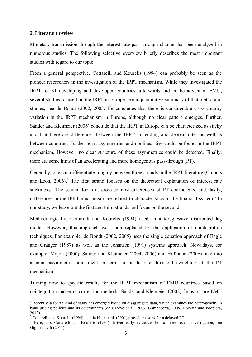#### **2. Literature review**

1

Monetary transmission through the interest rate pass-through channel has been analyzed in numerous studies. The following selective overview briefly describes the most important studies with regard to our topic.

From a general perspective, Cottarelli and Kourelis (1994) can probably be seen as the pioneer researchers in the investigation of the IRPT mechanism. While they investigated the IRPT for 31 developing and developed countries, afterwards and in the advent of EMU, several studies focused on the IRPT in Europe. For a quantitative summary of that plethora of studies, see de Bondt (2002, 2005. He concludes that there is considerable cross-country variation in the IRPT mechanism in Europe, although no clear pattern emerges. Further, Sander and Kleimeier (2006) conclude that the IRPT in Europe can be characterized as sticky and that there are differences between the IRPT to lending and deposit rates as well as between countries. Furthermore, asymmetries and nonlinearities could be found in the IRPT mechanism. However, no clear structure of these asymmetries could be detected. Finally, there are some hints of an accelerating and more homogenous pass-through (PT).

Generally, one can differentiate roughly between three strands in the IRPT literature (Chionis and Leon,  $2006$ .<sup>1</sup> The first strand focuses on the theoretical explanation of interest rate stickiness.<sup>2</sup> The second looks at cross-country differences of PT coefficients, and, lastly, differences in the IPRT mechanism are related to characteristics of the financial system.<sup>3</sup> In our study, we leave out the first and third strands and focus on the second.

Methodologically, Cottarelli and Kourelis (1994) used an autoregressive distributed lag model. However, this approach was soon replaced by the application of cointegration techniques. For example, de Bondt (2002, 2005) uses the single equation approach of Engle and Granger (1987) as well as the Johansen (1991) systems approach. Nowadays, for example, Mojon (2000), Sander and Kleimeier (2004, 2006) and Hofmann (2006) take into account asymmetric adjustment in terms of a discrete threshold switching of the PT mechanism.

Turning now to specific results for the IRPT mechanism of EMU countries based on cointegration and error correction methods, Sander and Kleimeier (2002) focus on pre-EMU

<sup>&</sup>lt;sup>1</sup> Recently, a fourth kind of study has emerged based on disaggregate data, which examines the heterogeneity in bank pricing policies and its determinants (de Graeve et al., 2007, Gambacorta, 2008, Horvath and Podpiera, 2012).

<sup>&</sup>lt;sup>2</sup> Cottarelli and Kourelis (1994) and de Haan et al. (2001) provide reasons for a delayed PT.

<sup>&</sup>lt;sup>3</sup> Here, too, Cottarelli and Kourelis (1994) deliver early evidence. For a more recent investigation, see Gigineishvili (2011).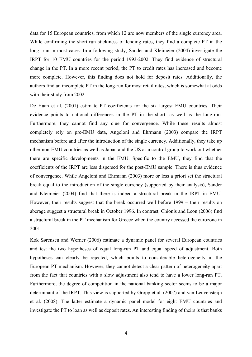data for 15 European countries, from which 12 are now members of the single currency area. While confirming the short-run stickiness of lending rates, they find a complete PT in the long- run in most cases. In a following study, Sander and Kleimeier (2004) investigate the IRPT for 10 EMU countries for the period 1993-2002. They find evidence of structural change in the PT. In a more recent period, the PT to credit rates has increased and become more complete. However, this finding does not hold for deposit rates. Additionally, the authors find an incomplete PT in the long-run for most retail rates, which is somewhat at odds with their study from 2002.

De Haan et al. (2001) estimate PT coefficients for the six largest EMU countries. Their evidence points to national differences in the PT in the short- as well as the long-run. Furthermore, they cannot find any clue for convergence. While these results almost completely rely on pre-EMU data, Angeloni and Ehrmann (2003) compare the IRPT mechanism before and after the introduction of the single currency. Additionally, they take up other non-EMU countries as well as Japan and the US as a control group to work out whether there are specific developments in the EMU. Specific to the EMU, they find that the coefficients of the IRPT are less dispersed for the post-EMU sample. There is thus evidence of convergence. While Angeloni and Ehrmann (2003) more or less a priori set the structural break equal to the introduction of the single currency (supported by their analysis), Sander and Kleimeier (2004) find that there is indeed a structural break in the IRPT in EMU. However, their results suggest that the break occurred well before 1999 – their results on aberage suggest a structural break in October 1996. In contrast, Chionis and Leon (2006) find a structural break in the PT mechanism for Greece when the country accessed the eurozone in 2001.

Kok Sørensen and Werner (2006) estimate a dynamic panel for several European countries and test the two hypotheses of equal long-run PT and equal speed of adjustment. Both hypotheses can clearly be rejected, which points to considerable heterogeneity in the European PT mechanism. However, they cannot detect a clear pattern of heterogeneity apart from the fact that countries with a slow adjustment also tend to have a lower long-run PT. Furthermore, the degree of competition in the national banking sector seems to be a major determinant of the IRPT. This view is supported by Gropp et al. (2007) and van Leuvensteijn et al. (2008). The latter estimate a dynamic panel model for eight EMU countries and investigate the PT to loan as well as deposit rates. An interesting finding of theirs is that banks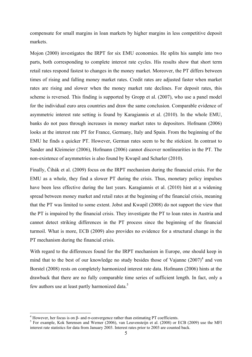compensate for small margins in loan markets by higher margins in less competitive deposit markets.

Mojon (2000) investigates the IRPT for six EMU economies. He splits his sample into two parts, both corresponding to complete interest rate cycles. His results show that short term retail rates respond fastest to changes in the money market. Moreover, the PT differs between times of rising and falling money market rates. Credit rates are adjusted faster when market rates are rising and slower when the money market rate declines. For deposit rates, this scheme is reversed. This finding is supported by Gropp et al. (2007), who use a panel model for the individual euro area countries and draw the same conclusion. Comparable evidence of asymmetric interest rate setting is found by Karagiannis et al. (2010). In the whole EMU, banks do not pass through increases in money market rates to depositors. Hofmann (2006) looks at the interest rate PT for France, Germany, Italy and Spain. From the beginning of the EMU he finds a quicker PT. However, German rates seem to be the stickiest. In contrast to Sander and Kleimeier (2006), Hofmann (2006) cannot discover nonlinearities in the PT. The non-existence of asymmetries is also found by Kwapil and Scharler (2010).

Finally, Čihák et al. (2009) focus on the IRPT mechanism during the financial crisis. For the EMU as a whole, they find a slower PT during the crisis. Thus, monetary policy impulses have been less effective during the last years. Karagiannis et al. (2010) hint at a widening spread between money market and retail rates at the beginning of the financial crisis, meaning that the PT was limited to some extent. Jobst and Kwapil (2008) do not support the view that the PT is impaired by the financial crisis. They investigate the PT to loan rates in Austria and cannot detect striking differences in the PT process since the beginning of the financial turmoil. What is more, ECB (2009) also provides no evidence for a structural change in the PT mechanism during the financial crisis.

With regard to the differences found for the IRPT mechanism in Europe, one should keep in mind that to the best of our knowledge no study besides those of Vajanne  $(2007)^4$  and von Borstel (2008) rests on completely harmonized interest rate data. Hofmann (2006) hints at the drawback that there are no fully comparable time series of sufficient length. In fact, only a few authors use at least partly harmonized data.<sup>5</sup>

1

<sup>&</sup>lt;sup>4</sup> However, her focus is on β- and σ-convergence rather than estimating PT coefficients.

<sup>&</sup>lt;sup>5</sup> For example, Kok Sørensen and Werner (2006), van Leuvensteijn et al. (2008) or ECB (2009) use the MFI interest rate statistics for data from January 2003. Interest rates prior to 2003 are counted back.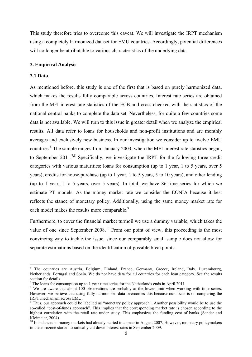This study therefore tries to overcome this caveat. We will investigate the IRPT mechanism using a completely harmonized dataset for EMU countries. Accordingly, potential differences will no longer be attributable to various characteristics of the underlying data.

# **3. Empirical Analysis**

# **3.1 Data**

<u>.</u>

As mentioned before, this study is one of the first that is based on purely harmonized data, which makes the results fully comparable across countries. Interest rate series are obtained from the MFI interest rate statistics of the ECB and cross-checked with the statistics of the national central banks to complete the data set. Nevertheless, for quite a few countries some data is not available. We will turn to this issue in greater detail when we analyze the empirical results. All data refer to loans for households and non-profit institutions and are monthly averages and exclusively new business. In our investigation we consider up to twelve EMU countries.<sup>6</sup> The sample ranges from January 2003, when the MFI interest rate statistics began, to September 2011.<sup>7,8</sup> Specifically, we investigate the IRPT for the following three credit categories with various maturities: loans for consumption (up to 1 year, 1 to 5 years, over 5 years), credits for house purchase (up to 1 year, 1 to 5 years, 5 to 10 years), and other lending (up to 1 year, 1 to 5 years, over 5 years). In total, we have 86 time series for which we estimate PT models. As the money market rate we consider the EONIA because it best reflects the stance of monetary policy. Additionally, using the same money market rate for each model makes the results more comparable.<sup>9</sup>

Furthermore, to cover the financial market turmoil we use a dummy variable, which takes the value of one since September  $2008<sup>10</sup>$  From our point of view, this proceeding is the most convincing way to tackle the issue, since our comparably small sample does not allow for separate estimations based on the identification of possible breakpoints.

<sup>&</sup>lt;sup>6</sup> The countries are Austria, Belgium, Finland, France, Germany, Greece, Ireland, Italy, Luxembourg, Netherlands, Portugal and Spain. We do not have data for all countries for each loan category. See the results section for details.

<sup>7</sup> The loans for consumption up to 1 year time series for the Netherlands ends in April 2011.

<sup>&</sup>lt;sup>8</sup> We are aware that about 100 observations are probably at the lower limit when working with time series. However, we believe that using fully harmonized data overcomes this because our focus is on comparing the IRPT mechanism across EMU.

<sup>&</sup>lt;sup>9</sup> Thus, our approach could be labelled as "monetary policy approach". Another possibility would be to use the so-called "cost-of-funds approach". This implies that the corresponding market rate is chosen according to the highest correlation with the retail rate under study. This emphasizes the funding cost of banks (Sander and Kleimeier, 2004).

<sup>&</sup>lt;sup>10</sup> Imbalances in money markets had already started to appear in August 2007. However, monetary policymakers in the eurozone started to radically cut down interest rates in September 2009.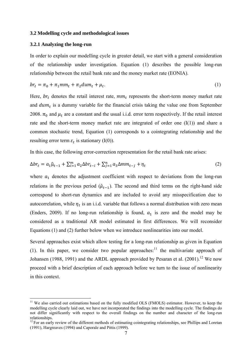#### **3.2 Modelling cycle and methodological issues**

## **3.2.1 Analyzing the long-run**

1

In order to explain our modelling cycle in greater detail, we start with a general consideration of the relationship under investigation. Equation (1) describes the possible long-run relationship between the retail bank rate and the money market rate (EONIA).

$$
br_t = \pi_0 + \pi_1 mm_t + \pi_2 dum_t + \mu_t. \tag{1}
$$

Here,  $br_t$  denotes the retail interest rate,  $mm_t$  represents the short-term money market rate and  $dum_t$  is a dummy variable for the financial crisis taking the value one from September 2008.  $\pi_0$  and  $\mu_t$  are a constant and the usual i.i.d. error term respectively. If the retail interest rate and the short-term money market rate are integrated of order one (I(1)) and share a common stochastic trend, Equation (1) corresponds to a cointegrating relationship and the resulting error term  $\varepsilon_t$  is stationary (I(0)).

In this case, the following error-correction representation for the retail bank rate arises:

$$
\Delta br_t = a_1 \hat{\mu}_{t-1} + \sum_{i=1}^m a_2 \Delta br_{t-i} + \sum_{j=1}^n a_3 \Delta mm_{t-j} + \eta_t
$$
\n(2)

where  $a_1$  denotes the adjustment coefficient with respect to deviations from the long-run relations in the previous period  $(\hat{\mu}_{t-1})$ . The second and third terms on the right-hand side correspond to short-run dynamics and are included to avoid any misspecification due to autocorrelation, while  $\eta_t$  is an i.i.d. variable that follows a normal distribution with zero mean (Enders, 2009). If no long-run relationship is found,  $a_1$  is zero and the model may be considered as a traditional AR model estimated in first differences. We will reconsider Equations (1) and (2) further below when we introduce nonlinearities into our model.

Several approaches exist which allow testing for a long-run relationship as given in Equation (1). In this paper, we consider two popular approaches:<sup>11</sup> the multivariate approach of Johansen (1988, 1991) and the ARDL approach provided by Pesaran et al.  $(2001)$ .<sup>12</sup> We now proceed with a brief description of each approach before we turn to the issue of nonlinearity in this context.

<sup>&</sup>lt;sup>11</sup> We also carried out estimations based on the fully modified OLS (FMOLS) estimator. However, to keep the modelling cycle clearly laid out, we have not incorporated the findings into the modelling cycle. The findings do not differ significantly with respect to the overall findings on the number and character of the long-run relationships.

<sup>&</sup>lt;sup>12</sup> For an early review of the different methods of estimating cointegrating relationships, see Phillips and Loretan (1991), Hargreaves (1994) and Caporale and Pittis (1999).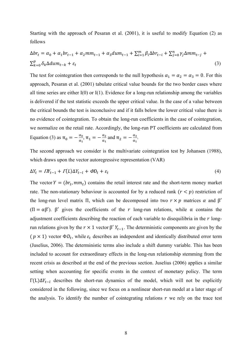Starting with the approach of Pesaran et al. (2001), it is useful to modify Equation (2) as follows

$$
\Delta br_t = \alpha_0 + \alpha_1 br_{t-1} + \alpha_2 mm_{t-1} + \alpha_3 dum_{t-1} + \sum_{i=1}^m \beta_i \Delta br_{t-i} + \sum_{j=0}^n \gamma_j \Delta mm_{t-j} + \sum_{k=0}^p \delta_k \Delta dum_{t-k} + \varepsilon_t
$$
\n(3)

The test for cointegration then corresponds to the null hypothesis  $\alpha_1 = \alpha_2 = \alpha_3 = 0$ . For this approach, Pesaran et al. (2001) tabulate critical value bounds for the two border cases where all time series are either  $I(0)$  or  $I(1)$ . Evidence for a long-run relationship among the variables is delivered if the test statistic exceeds the upper critical value. In the case of a value between the critical bounds the test is inconclusive and if it falls below the lower critical value there is no evidence of cointegration. To obtain the long-run coefficients in the case of cointegration, we normalize on the retail rate. Accordingly, the long-run PT coefficients are calculated from Equation (3) as  $\pi_0 = -\frac{\alpha_0}{\alpha_1}, \pi_1 = -\frac{\alpha_2}{\alpha_1}$  and  $\pi_2 = -\frac{\alpha_3}{\alpha_1}$ .

The second approach we consider is the multivariate cointegration test by Johansen (1988), which draws upon the vector autoregressive representation (VAR)

$$
\Delta Y_t = \Pi Y_{t-1} + \Gamma(L)\Delta Y_{t-l} + \Phi D_t + \varepsilon_t \tag{4}
$$

The vector  $Y = (br_t, mm_t)$  contains the retail interest rate and the short-term money market rate. The non-stationary behaviour is accounted for by a reduced rank  $(r < p)$  restriction of the long-run level matrix Π, which can be decomposed into two  $r \times p$  matrices  $\alpha$  and  $\beta'$ ( $\Pi = \alpha \beta'$ ). β' gives the coefficients of the r long-run relations, while  $\alpha$  contains the adjustment coefficients describing the reaction of each variable to disequilibria in the  $r$  longrun relations given by the  $r \times 1$  vector β'  $Y_{t-1}$ . The deterministic components are given by the  $(p \times 1)$  vector  $\Phi D_t$ , while  $\varepsilon_t$  describes an independent and identically distributed error term (Juselius, 2006). The deterministic terms also include a shift dummy variable. This has been included to account for extraordinary effects in the long-run relationship stemming from the recent crisis as described at the end of the previous section. Juselius (2006) applies a similar setting when accounting for specific events in the context of monetary policy. The term  $Γ(L)ΔY<sub>t-1</sub>$  describes the short-run dynamics of the model, which will not be explicitly considered in the following, since we focus on a nonlinear short-run model at a later stage of the analysis. To identify the number of cointegrating relations  $r$  we rely on the trace test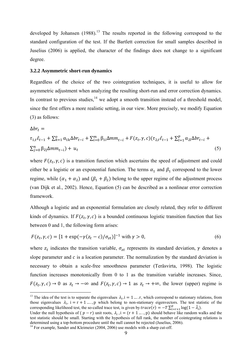developed by Johansen  $(1988)$ <sup>13</sup>. The results reported in the following correspond to the standard configuration of the test. If the Bartlett correction for small samples described in Juselius (2006) is applied, the character of the findings does not change to a significant degree.

#### **3.2.2 Asymmetric short-run dynamics**

Regardless of the choice of the two cointegration techniques, it is useful to allow for asymmetric adjustment when analyzing the resulting short-run and error correction dynamics. In contrast to previous studies, $14$  we adopt a smooth transition instead of a threshold model, since the first offers a more realistic setting, in our view. More precisely, we modify Equation (3) as follows:

$$
\Delta br_{t} =
$$
  
\n
$$
\tau_{1,t}\hat{\varepsilon}_{t-1} + \sum_{k=1}^{o} \alpha_{1k} \Delta br_{t-i} + \sum_{i=0}^{m} \beta_{1i} \Delta mm_{t-i} + F(z_{t}, \gamma, c) (\tau_{2,t}\hat{\varepsilon}_{t-1} + \sum_{l=1}^{p} \alpha_{2l} \Delta br_{t-l} + \sum_{j=0}^{n} \beta_{2j} \Delta mm_{t-j}) + u_{t}
$$
\n(5)

where  $F(z_t, \gamma, c)$  is a transition function which ascertains the speed of adjustment and could either be a logistic or an exponential function. The terms  $\alpha_1$  and  $\beta_1$  correspond to the lower regime, while  $(\alpha_1 + \alpha_2)$  and  $(\beta_1 + \beta_2)$  belong to the upper regime of the adjustment process (van Dijk et al., 2002). Hence, Equation (5) can be described as a nonlinear error correction framework.

Although a logistic and an exponential formulation are closely related, they refer to different kinds of dynamics. If  $F(z_t, \gamma, c)$  is a bounded continuous logistic transition function that lies between 0 and 1, the following form arises:

$$
F(z_t, \gamma, c) = [1 + \exp(-\gamma(z_t - c)/\sigma_{zt})]^{-1} \text{ with } \gamma > 0,
$$
\n(6)

where  $z_t$  indicates the transition variable,  $\sigma_{zt}$  represents its standard deviation,  $\gamma$  denotes a slope parameter and  $c$  is a location parameter. The normalization by the standard deviation is necessary to obtain a scale-free smoothness parameter (Teräsvirta, 1998). The logistic function increases monotonically from 0 to 1 as the transition variable increases. Since,  $F(z_t, \gamma, c) \to 0$  as  $z_t \to -\infty$  and  $F(z_t, \gamma, c) \to 1$  as  $z_t \to +\infty$ , the lower (upper) regime is

<u>.</u>

<sup>&</sup>lt;sup>13</sup> The idea of the test is to separate the eigenvalues  $\lambda_i$ , i = 1 ... r, which correspond to stationary relations, from those eigenvalues  $\lambda_i$ , i = r + 1 …., p which belong to non-stationary eigenvectors. The test statistic of the corresponding likelihood test, the so-called trace test, is given by  $trace(r) = -T \sum_{i=r+1}^{p} log(1 - \hat{\lambda}_i)$ .

Under the null hypothesis of  $(p - r)$  unit roots,  $\lambda_i$ ,  $i = (r + 1 ..., p)$  should behave like random walks and the test statistic should be small. Starting with the hypothesis of full rank, the number of cointegrating relations is determined using a top-bottom procedure until the null cannot be rejected (Juselius, 2006).

<sup>&</sup>lt;sup>14</sup> For example, Sander and Kleimeier (2004, 2006) use models with a sharp cut-off.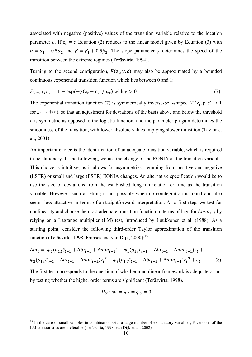associated with negative (positive) values of the transition variable relative to the location parameter c. If  $z_t = c$  Equation (2) reduces to the linear model given by Equation (3) with  $\alpha = \alpha_1 + 0.5\alpha_2$  and  $\beta = \beta_1 + 0.5\beta_2$ . The slope parameter  $\gamma$  determines the speed of the transition between the extreme regimes (Teräsvirta, 1994).

Turning to the second configuration,  $F(z_t, \gamma, c)$  may also be approximated by a bounded continuous exponential transition function which lies between 0 and 1:

$$
F(z_t, \gamma, c) = 1 - \exp(-\gamma(z_t - c)^2/\sigma_{zt}) \text{ with } \gamma > 0.
$$
\n<sup>(7)</sup>

The exponential transition function (7) is symmetrically inverse-bell-shaped ( $F(z_t, \gamma, c) \rightarrow 1$ for  $z_t \rightarrow \pm \infty$ ), so that an adjustment for deviations of the basis above and below the threshold  $c$  is symmetric as opposed to the logistic function, and the parameter  $\gamma$  again determines the smoothness of the transition, with lower absolute values implying slower transition (Taylor et al., 2001).

An important choice is the identification of an adequate transition variable, which is required to be stationary. In the following, we use the change of the EONIA as the transition variable. This choice is intuitive, as it allows for asymmetries stemming from positive and negative (LSTR) or small and large (ESTR) EONIA changes. An alternative specification would be to use the size of deviations from the established long-run relation or time as the transition variable. However, such a setting is not possible when no cointegration is found and also seems less attractive in terms of a straightforward interpretation. As a first step, we test for nonlinearity and choose the most adequate transition function in terms of lags for  $\Delta mm_{t-1}$  by relying on a Lagrange multiplier (LM) test, introduced by Luukkonen et al. (1988). As a starting point, consider the following third-order Taylor approximation of the transition function (Teräsvirta, 1998, Franses and van Dijk, 2000):<sup>15</sup>

$$
\Delta br_t = \varphi_0(a_{1,t}\hat{\varepsilon}_{t-1} + \Delta br_{t-1} + \Delta mm_{t-1}) + \varphi_1(a_{1,t}\hat{\varepsilon}_{t-1} + \Delta br_{t-1} + \Delta mm_{t-1})z_t +
$$
  

$$
\varphi_2(a_{1,t}\hat{\varepsilon}_{t-1} + \Delta br_{t-1} + \Delta mm_{t-1})z_t^2 + \varphi_3(a_{1,t}\hat{\varepsilon}_{t-1} + \Delta br_{t-1} + \Delta mm_{t-1})z_t^3 + \varepsilon_t
$$
 (8)

The first test corresponds to the question of whether a nonlinear framework is adequate or not by testing whether the higher order terms are significant (Teräsvirta, 1998).

$$
H_{01}: \varphi_1 = \varphi_2 = \varphi_3 = 0
$$

1

<sup>&</sup>lt;sup>15</sup> In the case of small samples in combination with a large number of explanatory variables, F versions of the LM test statistics are preferable (Teräsvirta, 1998, van Dijk et al., 2002).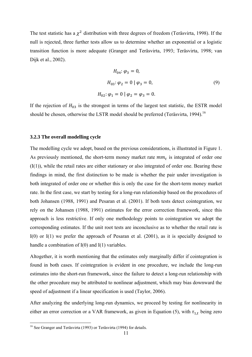The test statistic has a  $\chi^2$  distribution with three degrees of freedom (Teräsvirta, 1998). If the null is rejected, three further tests allow us to determine whether an exponential or a logistic transition function is more adequate (Granger and Teräsvirta, 1993; Teräsvirta, 1998; van Dijk et al., 2002).

$$
H_{04}: \varphi_3 = 0,
$$
  
\n
$$
H_{03}: \varphi_2 = 0 | \varphi_3 = 0,
$$
  
\n
$$
H_{02}: \varphi_1 = 0 | \varphi_2 = \varphi_3 = 0.
$$
  
\n(9)

If the rejection of  $H_{03}$  is the strongest in terms of the largest test statistic, the ESTR model should be chosen, otherwise the LSTR model should be preferred (Teräsvirta, 1994).<sup>16</sup>

#### **3.2.3 The overall modelling cycle**

The modelling cycle we adopt, based on the previous considerations, is illustrated in Figure 1. As previously mentioned, the short-term money market rate  $mm_t$  is integrated of order one  $(I(1))$ , while the retail rates are either stationary or also integrated of order one. Bearing these findings in mind, the first distinction to be made is whether the pair under investigation is both integrated of order one or whether this is only the case for the short-term money market rate. In the first case, we start by testing for a long-run relationship based on the procedures of both Johansen (1988, 1991) and Pesaran et al. (2001). If both tests detect cointegration, we rely on the Johansen (1988, 1991) estimates for the error correction framework, since this approach is less restrictive. If only one methodology points to cointegration we adopt the corresponding estimates. If the unit root tests are inconclusive as to whether the retail rate is I(0) or I(1) we prefer the approach of Pesaran et al. (2001), as it is specially designed to handle a combination of I(0) and I(1) variables.

Altogether, it is worth mentioning that the estimates only marginally differ if cointegration is found in both cases. If cointegration is evident in one procedure, we include the long-run estimates into the short-run framework, since the failure to detect a long-run relationship with the other procedure may be attributed to nonlinear adjustment, which may bias downward the speed of adjustment if a linear specification is used (Taylor, 2006).

After analyzing the underlying long-run dynamics, we proceed by testing for nonlinearity in either an error correction or a VAR framework, as given in Equation (5), with  $\tau_{1,t}$  being zero

1

<sup>&</sup>lt;sup>16</sup> See Granger and Teräsvirta (1993) or Teräsvirta (1994) for details.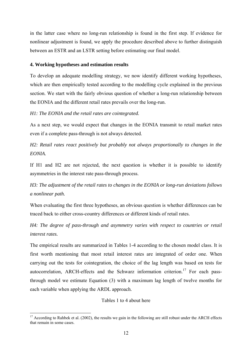in the latter case where no long-run relationship is found in the first step. If evidence for nonlinear adjustment is found, we apply the procedure described above to further distinguish between an ESTR and an LSTR setting before estimating our final model.

# **4. Working hypotheses and estimation results**

To develop an adequate modelling strategy, we now identify different working hypotheses, which are then empirically tested according to the modelling cycle explained in the previous section. We start with the fairly obvious question of whether a long-run relationship between the EONIA and the different retail rates prevails over the long-run.

# *H1: The EONIA and the retail rates are cointegrated.*

As a next step, we would expect that changes in the EONIA transmit to retail market rates even if a complete pass-through is not always detected.

*H2: Retail rates react positively but probably not always proportionally to changes in the EONIA.* 

If H1 and H2 are not rejected, the next question is whether it is possible to identify asymmetries in the interest rate pass-through process.

# *H3: The adjustment of the retail rates to changes in the EONIA or long-run deviations follows a nonlinear path.*

When evaluating the first three hypotheses, an obvious question is whether differences can be traced back to either cross-country differences or different kinds of retail rates.

*H4: The degree of pass-through and asymmetry varies with respect to countries or retail interest rates.* 

The empirical results are summarized in Tables 1-4 according to the chosen model class. It is first worth mentioning that most retail interest rates are integrated of order one. When carrying out the tests for cointegration, the choice of the lag length was based on tests for autocorrelation, ARCH-effects and the Schwarz information criterion.<sup>17</sup> For each passthrough model we estimate Equation (3) with a maximum lag length of twelve months for each variable when applying the ARDL approach.

Tables 1 to 4 about here

<sup>1</sup>  $17$  According to Rahbek et al. (2002), the results we gain in the following are still robust under the ARCH effects that remain in some cases.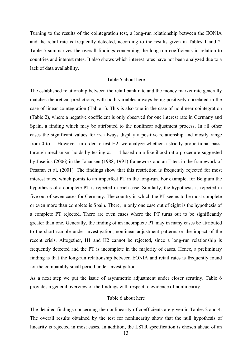Turning to the results of the cointegration test, a long-run relationship between the EONIA and the retail rate is frequently detected, according to the results given in Tables 1 and 2. Table 5 summarizes the overall findings concerning the long-run coefficients in relation to countries and interest rates. It also shows which interest rates have not been analyzed due to a lack of data availability.

# Table 5 about here

The established relationship between the retail bank rate and the money market rate generally matches theoretical predictions, with both variables always being positively correlated in the case of linear cointegration (Table 1). This is also true in the case of nonlinear cointegration (Table 2), where a negative coefficient is only observed for one interest rate in Germany and Spain, a finding which may be attributed to the nonlinear adjustment process. In all other cases the significant values for  $\pi_1$  always display a positive relationship and mostly range from 0 to 1. However, in order to test H2, we analyze whether a strictly proportional passthrough mechanism holds by testing  $\pi_1 = 1$  based on a likelihood ratio procedure suggested by Juselius (2006) in the Johansen (1988, 1991) framework and an F-test in the framework of Pesaran et al. (2001). The findings show that this restriction is frequently rejected for most interest rates, which points to an imperfect PT in the long-run. For example, for Belgium the hypothesis of a complete PT is rejected in each case. Similarly, the hypothesis is rejected in five out of seven cases for Germany. The country in which the PT seems to be most complete or even more than complete is Spain. There, in only one case out of eight is the hypothesis of a complete PT rejected. There are even cases where the PT turns out to be significantly greater than one. Generally, the finding of an incomplete PT may in many cases be attributed to the short sample under investigation, nonlinear adjustment patterns or the impact of the recent crisis. Altogether, H1 and H2 cannot be rejected, since a long-run relationship is frequently detected and the PT is incomplete in the majority of cases. Hence, a preliminary finding is that the long-run relationship between EONIA and retail rates is frequently found for the comparably small period under investigation.

As a next step we put the issue of asymmetric adjustment under closer scrutiny. Table 6 provides a general overview of the findings with respect to evidence of nonlinearity.

# Table 6 about here

The detailed findings concerning the nonlinearity of coefficients are given in Tables 2 and 4. The overall results obtained by the test for nonlinearity show that the null hypothesis of linearity is rejected in most cases. In addition, the LSTR specification is chosen ahead of an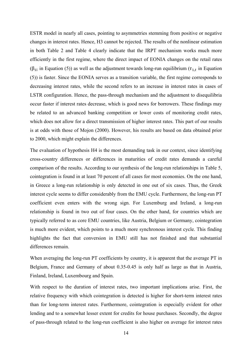ESTR model in nearly all cases, pointing to asymmetries stemming from positive or negative changes in interest rates. Hence, H3 cannot be rejected. The results of the nonlinear estimation in both Table 2 and Table 4 clearly indicate that the IRPT mechanism works much more efficiently in the first regime, where the direct impact of EONIA changes on the retail rates ( $\beta_{1i}$  in Equation (5)) as well as the adjustment towards long-run equilibrium ( $\tau_{1,t}$  in Equation (5)) is faster. Since the EONIA serves as a transition variable, the first regime corresponds to decreasing interest rates, while the second refers to an increase in interest rates in cases of LSTR configuration. Hence, the pass-through mechanism and the adjustment to disequilibria occur faster if interest rates decrease, which is good news for borrowers. These findings may be related to an advanced banking competition or lower costs of monitoring credit rates, which does not allow for a direct transmission of higher interest rates. This part of our results is at odds with those of Mojon (2000). However, his results are based on data obtained prior to 2000, which might explain the differences.

The evaluation of hypothesis H4 is the most demanding task in our context, since identifying cross-country differences or differences in maturities of credit rates demands a careful comparison of the results. According to our synthesis of the long-run relationships in Table 5, cointegration is found in at least 70 percent of all cases for most economies. On the one hand, in Greece a long-run relationship is only detected in one out of six cases. Thus, the Greek interest cycle seems to differ considerably from the EMU cycle. Furthermore, the long-run PT coefficient even enters with the wrong sign. For Luxemburg and Ireland, a long-run relationship is found in two out of four cases. On the other hand, for countries which are typically referred to as core EMU countries, like Austria, Belgium or Germany, cointegration is much more evident, which points to a much more synchronous interest cycle. This finding highlights the fact that conversion in EMU still has not finished and that substantial differences remain.

When averaging the long-run PT coefficients by country, it is apparent that the average PT in Belgium, France and Germany of about 0.35-0.45 is only half as large as that in Austria, Finland, Ireland, Luxembourg and Spain.

With respect to the duration of interest rates, two important implications arise. First, the relative frequency with which cointegration is detected is higher for short-term interest rates than for long-term interest rates. Furthermore, cointegration is especially evident for other lending and to a somewhat lesser extent for credits for house purchases. Secondly, the degree of pass-through related to the long-run coefficient is also higher on average for interest rates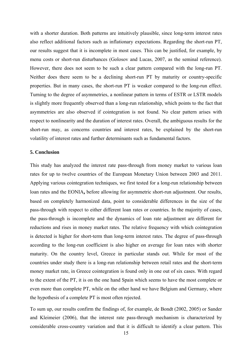with a shorter duration. Both patterns are intuitively plausible, since long-term interest rates also reflect additional factors such as inflationary expectations. Regarding the short-run PT, our results suggest that it is incomplete in most cases. This can be justified, for example, by menu costs or short-run disturbances (Golosov and Lucas, 2007, as the seminal reference). However, there does not seem to be such a clear pattern compared with the long-run PT. Neither does there seem to be a declining short-run PT by maturity or country-specific properties. But in many cases, the short-run PT is weaker compared to the long-run effect. Turning to the degree of asymmetries, a nonlinear pattern in terms of ESTR or LSTR models is slightly more frequently observed than a long-run relationship, which points to the fact that asymmetries are also observed if cointegration is not found. No clear pattern arises with respect to nonlinearity and the duration of interest rates. Overall, the ambiguous results for the short-run may, as concerns countries and interest rates, be explained by the short-run volatility of interest rates and further determinants such as fundamental factors.

#### **5. Conclusion**

This study has analyzed the interest rate pass-through from money market to various loan rates for up to twelve countries of the European Monetary Union between 2003 and 2011. Applying various cointegration techniques, we first tested for a long-run relationship between loan rates and the EONIA**,** before allowing for asymmetric short-run adjustment. Our results, based on completely harmonized data, point to considerable differences in the size of the pass-through with respect to either different loan rates or countries. In the majority of cases, the pass-through is incomplete and the dynamics of loan rate adjustment are different for reductions and rises in money market rates. The relative frequency with which cointegration is detected is higher for short-term than long-term interest rates. The degree of pass-through according to the long-run coefficient is also higher on average for loan rates with shorter maturity. On the country level, Greece in particular stands out. While for most of the countries under study there is a long-run relationship between retail rates and the short-term money market rate, in Greece cointegration is found only in one out of six cases. With regard to the extent of the PT, it is on the one hand Spain which seems to have the most complete or even more than complete PT, while on the other hand we have Belgium and Germany, where the hypothesis of a complete PT is most often rejected.

To sum up, our results confirm the findings of, for example, de Bondt (2002, 2005) or Sander and Kleimeier (2006), that the interest rate pass-through mechanism is characterized by considerable cross-country variation and that it is difficult to identify a clear pattern. This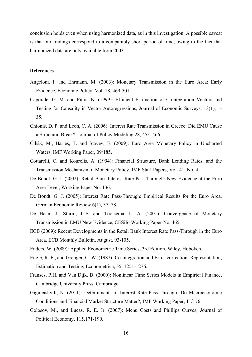conclusion holds even when using harmonized data, as in this investigation. A possible caveat is that our findings correspond to a comparably short period of time, owing to the fact that harmonized data are only available from 2003.

## **References**

- Angeloni, I. and Ehrmann, M. (2003): Monetary Transmission in the Euro Area: Early Evidence, Economic Policy, Vol. 18, 469-501.
- Caporale, G. M. and Pittis, N. (1999): Efficient Estimation of Cointegration Vectors and Testing for Causality in Vector Autoregressions, Journal of Economic Surveys, 13(1), 1- 35.
- Chionis, D. P. and Leon, C. A. (2006): Interest Rate Transmission in Greece: Did EMU Cause a Structural Break?, Journal of Policy Modeling 28, 453–466.
- Čihák, M., Harjes, T. and Stavev, E. (2009): Euro Area Monetary Policy in Uncharted Waters, IMF Working Paper, 09/185.
- Cottarelli, C. and Kourelis, A. (1994): Financial Structure, Bank Lending Rates, and the Transmission Mechanism of Monetary Policy, IMF Staff Papers, Vol. 41, No. 4.
- De Bondt, G. J. (2002): Retail Bank Interest Rate Pass-Through: New Evidence at the Euro Area Level, Working Paper No. 136.
- De Bondt, G. J. (2005): Interest Rate Pass-Through: Empirical Results for the Euro Area, German Economic Review 6(1), 37–78.
- De Haan, J., Sturm, J.-E. and Toolsema, L. A. (2001): Convergence of Monetary Transmission in EMU New Evidence, CESifo Working Paper No. 465.
- ECB (2009): Recent Developments in the Retail Bank Interest Rate Pass-Through in the Euro Area, ECB Monthly Bulletin, August, 93-105.
- Enders, W. (2009): Applied Econometric Time Series, 3rd Edition, Wiley, Hoboken.
- Engle, R. F., and Granger, C. W. (1987): Co-integration and Error-correction: Representation, Estimation and Testing, Econometrica, 55, 1251-1276.
- Franses, P.H. and Van Dijk, D. (2000): Nonlinear Time Series Models in Empirical Finance, Cambridge University Press, Cambridge.
- Gigineishvili, N. (2011): Determinants of Interest Rate Pass-Through: Do Macroeconomic Conditions and Financial Market Structure Matter?, IMF Working Paper, 11/176.
- Golosov, M., and Lucas. R. E. Jr. (2007): Menu Costs and Phillips Curves, Journal of Political Economy, 115,171-199.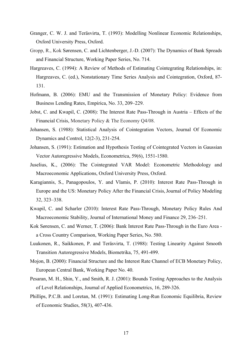- Granger, C. W. J. and Teräsvirta, T. (1993): Modelling Nonlinear Economic Relationships, Oxford University Press, Oxford.
- Gropp, R., Kok Sørensen, C. and Lichtenberger, J.-D. (2007): The Dynamics of Bank Spreads and Financial Structure, Working Paper Series, No. 714.
- Hargreaves, C. (1994): A Review of Methods of Estimating Cointegrating Relationships, in: Hargreaves, C. (ed.), Nonstationary Time Series Analysis and Cointegration, Oxford, 87- 131.
- Hofmann, B. (2006): EMU and the Transmission of Monetary Policy: Evidence from Business Lending Rates, Empirica, No. 33, 209–229.
- Jobst, C. and Kwapil, C. (2008): The Interest Rate Pass-Through in Austria Effects of the Financial Crisis, Monetary Policy & The Economy Q4/08.
- Johansen, S. (1988): Statistical Analysis of Cointegration Vectors, Journal Of Economic Dynamics and Control, 12(2-3), 231-254.
- Johansen, S. (1991): Estimation and Hypothesis Testing of Cointegrated Vectors in Gaussian Vector Autoregressive Models, Econometrica, 59(6), 1551-1580.
- Juselius, K., (2006): The Cointegrated VAR Model: Econometric Methodology and Macroeconomic Applications, Oxford University Press, Oxford.
- Karagiannis, S., Panagopoulos, Y. and Vlamis, P. (2010): Interest Rate Pass-Through in Europe and the US: Monetary Policy After the Financial Crisis, Journal of Policy Modeling 32, 323–338.
- Kwapil, C. and Scharler (2010): Interest Rate Pass-Through, Monetary Policy Rules And Macroeconomic Stability, Journal of International Money and Finance 29, 236–251.
- Kok Sørensen, C. and Werner, T. (2006): Bank Interest Rate Pass-Through in the Euro Area a Cross Country Comparison, Working Paper Series, No. 580.
- Luukonen, R., Saikkonen, P. and Teräsvirta, T. (1988): Testing Linearity Against Smooth Transition Autoregressive Models, Biometrika, 75, 491-499.
- Mojon, B. (2000): Financial Structure and the Interest Rate Channel of ECB Monetary Policy, European Central Bank, Working Paper No. 40.
- Pesaran, M. H., Shin, Y., and Smith, R. J. (2001): Bounds Testing Approaches to the Analysis of Level Relationships, Journal of Applied Econometrics, 16, 289-326.
- Phillips, P.C.B. and Loretan, M. (1991): Estimating Long-Run Economic Equilibria, Review of Economic Studies, 58(3), 407-436.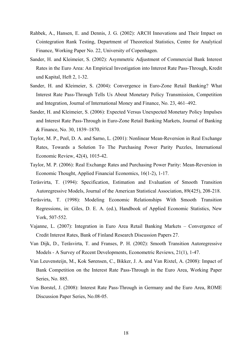- Rahbek, A., Hansen, E. and Dennis, J. G. (2002): ARCH Innovations and Their Impact on Cointegration Rank Testing, Department of Theoretical Statistics, Centre for Analytical Finance, Working Paper No. 22, University of Copenhagen.
- Sander, H. and Kleimeier, S. (2002): Asymmetric Adjustment of Commercial Bank Interest Rates in the Euro Area: An Empirical Investigation into Interest Rate Pass-Through, Kredit und Kapital, Heft 2, 1-32.
- Sander, H. and Kleimeier, S. (2004): Convergence in Euro-Zone Retail Banking? What Interest Rate Pass-Through Tells Us About Monetary Policy Transmission, Competition and Integration, Journal of International Money and Finance, No. 23, 461–492.
- Sander, H. and Kleimeier, S. (2006): Expected Versus Unexpected Monetary Policy Impulses and Interest Rate Pass-Through in Euro-Zone Retail Banking Markets, Journal of Banking & Finance, No. 30, 1839–1870.
- Taylor, M. P., Peel, D. A. and Sarno, L. (2001): Nonlinear Mean-Reversion in Real Exchange Rates, Towards a Solution To The Purchasing Power Parity Puzzles, International Economic Review, 42(4), 1015-42.
- Taylor, M. P. (2006): Real Exchange Rates and Purchasing Power Parity: Mean-Reversion in Economic Thought, Applied Financial Economics, 16(1-2), 1-17.
- Teräsvirta, T. (1994): Specification, Estimation and Evaluation of Smooth Transition Autoregressive Models, Journal of the American Statistical Association, 89(425), 208-218.
- Teräsvirta, T. (1998): Modeling Economic Relationships With Smooth Transition Regressions, in: Giles, D. E. A. (ed.), Handbook of Applied Economic Statistics, New York, 507-552.
- Vajanne, L. (2007): Integration in Euro Area Retail Banking Markets Convergence of Credit Interest Rates, Bank of Finland Research Discussion Papers 27.
- Van Dijk, D., Teräsvirta, T. and Franses, P. H. (2002): Smooth Transition Autoregressive Models - A Survey of Recent Developments, Econometric Reviews, 21(1), 1-47.
- Van Leuvensteijn, M., Kok Sørensen, C., Bikker, J. A. and Van Rixtel, A. (2008): Impact of Bank Competition on the Interest Rate Pass-Through in the Euro Area, Working Paper Series, No. 885.
- Von Borstel, J. (2008): Interest Rate Pass-Through in Germany and the Euro Area, ROME Discussion Paper Series, No.08-05.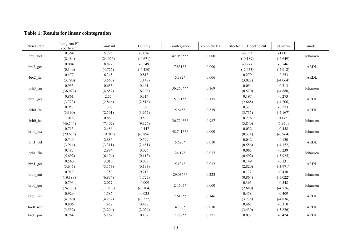# **Table 1: Results for linear cointegration**

| interest rate | Long-run PT<br>coefficient | Constant | Dummy      | Cointegration | complete PT | Short-run PT coefficient | EC-term    | model       |
|---------------|----------------------------|----------|------------|---------------|-------------|--------------------------|------------|-------------|
|               | 0.364                      | 5.726    | $-0.076$   | 42.058***     | 0.000       | $-0.053$                 | $-1.001$   |             |
| brc0_bel      | (8.484)                    | (24.926) | $(-0.671)$ |               |             | $(-0.189)$               | $(-6.649)$ | Johansen    |
|               | 0.004                      | 8.822    | $-0.549$   | $7.831**$     | 0.000       | $-0.277$                 | $-0.746$   | ARDL        |
| brc2_ger      | (0.149)                    | (4.775)  | $(-4.480)$ |               |             | $(-2.453)$               | $(-4.912)$ |             |
|               | 0.477                      | 6.345    | 0.813      | 5.392*        | 0.006       | 0.279                    | $-0.253$   | <b>ARDL</b> |
| brc2_ita      | (3.790)                    | (3.563)  | (3.148)    |               |             | (3.022)                  | $(-4.064)$ |             |
|               | 0.953                      | 0.655    | 0.461      | 36.265***     | 0.169       | 0.054                    | $-0.313$   | Johansen    |
| brh0 fin      | (36.022)                   | (4.657)  | (6.706)    |               |             | (0.520)                  | $(-4.880)$ |             |
|               | 0.861                      | 2.57     | 0.314      | $5.771**$     | 0.135       | 0.197                    | $-0.273$   | ARDL        |
| brh0_ger      | (3.723)                    | (2.846)  | (2.516)    |               |             | (2.668)                  | $(-4.206)$ |             |
|               | 0.957                      | 1.397    | 1.07       | 5.645*        | 0.539       | 0.323                    | $-0.273$   | ARDL        |
| brh0_ire      | (3.360)                    | (2.501)  | (3.652)    |               |             | (3.715)                  | $(-4.167)$ |             |
| brh0 ita      | 1.018                      | 0.869    | 0.539      | 36.724***     | 0.987       | 0.276                    | 0.145      | Johansen    |
|               | (46.544)                   | (7.402)  | (9.326)    |               |             | (3.840)                  | (1.970)    |             |
| brh0_lux      | 0.713                      | 2.486    | $-0.447$   | 48.741***     | 0.000       | 0.032                    | $-0.458$   | Johansen    |
|               | (29.685)                   | (19.013) | $(-6.896)$ |               |             | (0.331)                  | $(-6.964)$ |             |
| brh1_bel      | 0.549                      | 2.886    | 0.599      | $5.620*$      | 0.010       | 0.042                    | $-0.130$   | ARDL        |
|               | (3.914)                    | (3.311)  | (2.481)    |               |             | (0.556)                  | $(-4.152)$ |             |
| brh1 fin      | 0.485                      | 2.884    | 0.026      | 24.17*        | 0.017       | 0.065                    | $-0.239$   | Johansen    |
|               | (5.692)                    | (6.194)  | (0.113)    |               |             | (0.592)                  | $(-3.925)$ |             |
| brh1_ger      | 0.560                      | 3.010    | 0.038      | 5.134*        | 0.012       | 0.149                    | $-0.131$   | ARDL        |
|               | (3.645)                    | (3.173)  | (0.193)    |               |             | (2.820)                  | $(-3.971)$ |             |
|               | 0.917                      | 1.759    | 0.218      | 29.036**      | 0.223       | 0.132                    | $-0.430$   | Johansen    |
| bro0_aut      | (19.198)                   | (6.834)  | (1.727)    |               |             | (0.864)                  | $(-5.022)$ |             |
|               | 0.796                      | 2.077    | $-0.009$   | 24.605*       | 0.000       | 0.363                    | $-0.548$   | Johansen    |
| bro0 ger      | (24.778)                   | (11.898) | $(-0.104)$ |               |             | (2.680)                  | $(-4.726)$ |             |
|               | 0.929                      | 1.586    | $-0.025$   | 7.619**       | 0.146       | 0.458                    | $-0.409$   | ARDL        |
| bro0 lux      | (4.780)                    | (4.232)  | $(-0.222)$ |               |             | (3.738)                  | $(-4.836)$ |             |
|               | 0.806                      | 1.452    | 0.457      |               |             | 0.461                    | $-0.310$   |             |
| bro0 ned      | (3.552)                    | (3.294)  | (2.024)    | 4.780*        | 0.030       | (3.430)                  | $(-3.826)$ | ARDL        |
| bro0 por      | 0.764                      | 5.162    | 0.172      | 7.287**       | 0.121       | 0.032                    | $-0.424$   | <b>ARDL</b> |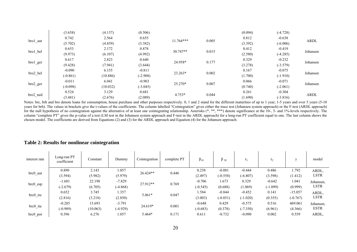|          | (3.658)    | (4.137)  | (0.506)    |             |       | (0.094) | $(-4.728)$ |             |
|----------|------------|----------|------------|-------------|-------|---------|------------|-------------|
|          | 0.742      | 2.564    | 0.655      | $11.764***$ |       | 0.812   | $-0.638$   |             |
| bro1_aut | (5.702)    | (4.859)  | (3.382)    |             | 0.005 | (3.392) | $(-6.006)$ | <b>ARDL</b> |
|          | 0.653      | 2.172    | 0.878      | $30.747**$  |       | 0.412   | $-0.419$   |             |
| bro1_bel | (9.973)    | (6.107)  | (4.992)    |             | 0.015 | (2.580) | $(-4.285)$ | Johansen    |
|          | 0.617      | 2.823    | 0.640      |             |       | 0.329   | $-0.232$   |             |
| bro1_ger | (9.428)    | (7.941)  | (3.644)    | 24.958*     | 0.177 | (3.278) | $(-3.579)$ | Johansen    |
|          | $-0.090$   | 6.155    | $-0.811$   |             |       | 0.167   | $-0.075$   |             |
| bro2_bel | $(-0.861)$ | (10.886) | $(-2.908)$ | 23.263*     | 0.002 | (1.700) | $(-1.910)$ | Johansen    |
|          | $-0.011$   | 6.041    | $-0.903$   |             |       | 0.066   | $-0.071$   |             |
| bro2_ger | $(-0.098)$ | (10.032) | $(-3.045)$ | 25.270*     | 0.007 | (0.740) | $(-2.061)$ | Johansen    |
|          | 0.524      | 3.129    | 0.681      |             |       | 0.261   | $-0.304$   |             |
| bro2_ned | (3.481)    | (2.676)  | (2.089)    | $4.753*$    | 0.044 | (1.690) | $(-3.816)$ | <b>ARDL</b> |

Notes: brc, brh and bro denote loans for consumption, house purchase and other purposes respectively. 0, 1 and 2 stand for the different maturities of up to 1 year, 1-5 years and over 5 years (5-10) years for brh). The values in brackets give the t-values of the coefficients. The column labelled "Cointegration" gives either the trace test (Johansen system approach) or the F-test (ARDL approach) for the null hypothesis of no cointegration against the alternative of at least one cointegrating relationship. Asterisks (\*, \*\*, \*\*\*) denote significance at the 10-, 5- and 1%-levels respectively. The column "complete PT" gives the p-value of a test (LM test in the Johansen system approach and F-test in the ARDL approach) for a long-run PT coefficient equal to one. The last column shows the chosen model. The coefficients are derived from Equations (2) and (3) for the ARDL approach and Equation (4) for the Johansen approach.

| interest rate | Long-run PT<br>coefficient | Constant | Dummy      | Cointegration | complete PT | $\beta_{10}$ | $\beta_{20}$ | $\tau_1$   | $\tau_2$   | $\sim$     | model       |
|---------------|----------------------------|----------|------------|---------------|-------------|--------------|--------------|------------|------------|------------|-------------|
|               | 0.890                      | 2.143    | 1.057      | $26.424**$    | 0.446       | 0.258        | $-0.081$     | $-0.444$   | 0.486      | 1.792      | ARDL,       |
| brc0_aut      | (3.594)                    | (5.982)  | (5.979)    |               |             | (2.497)      | $(-0.558)$   | $(-6.807)$ | (3.598)    | (1.412)    | LSTR        |
|               | $-1.681$                   | 22.198   | $-7.829$   | 27.912**      | 0.769       | $-0.706$     | 1.673        | 0.329      | $-0.642$   | 1.041      | Johansen,   |
| brc0_esp      | $(-2.679)$                 | (6.705)  | $(-4.868)$ |               |             | $(-0.545)$   | (0.688)      | (1.069)    | $(-1.099)$ | (0.999)    | <b>LSTR</b> |
|               | 0.652                      | 3.745    | 1.357      | $5.061*$      | 0.047       | 1.584        | $-0.844$     | $-0.452$   | 0.141      | $-15.057$  | ARDL,       |
| brc0_ire      | (2.816)                    | (3.218)  | (2.850)    |               |             | (3.003)      | $(-0.851)$   | $(-1.020)$ | (0.355)    | $(-0.767)$ | <b>LSTR</b> |
| brc0_ita      | $-0.285$                   | 15.693   | $-3.791$   | 24.619*       | 0.001       | $-0.648$     | 0.429        | $-0.575$   | 0.516      | 469.061    | Johansen,   |
|               | $(-0.989)$                 | (10.063) | $(-4.929)$ |               |             | $(-0.683)$   | (0.378)      | $(-7.350)$ | (6.961)    | (4.366)    | <b>ESTR</b> |
| brc0 por      | 0.396                      | 6.276    | 1.057      | 5.464*        | 0.171       | 0.611        | $-0.732$     | $-0.090$   | 0.002      | 0.559      | ARDL.       |

# **Table 2: Results for nonlinear cointegration**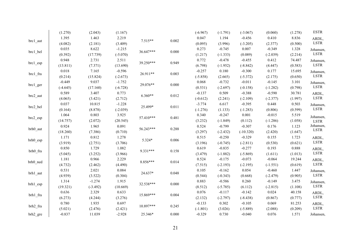|                 | (1.270)    | (2.043)    | (1.167)    |           |           | $(-6.967)$ | $(-1.791)$ | $(-3.067)$  | (0.060)    | (1.278) | <b>ESTR</b>   |
|-----------------|------------|------------|------------|-----------|-----------|------------|------------|-------------|------------|---------|---------------|
|                 | 1.395      | 1.463      | 2.219      |           |           | 0.047      | 1.194      | $-0.456$    | 0.410      | 8.836   | ARDL,         |
| brc1_aut        | (4.082)    | (2.181)    | (3.409)    | $7.515**$ | 0.002     | (0.095)    | (3.996)    | $(-3.205)$  | (2.377)    | (0.500) | LSTR          |
|                 | 0.035      | 8.622      | $-1.215$   | 36.647*** | $0.000\,$ | 0.273      | $-0.745$   | 0.007       | $-0.349$   | 1.328   | Johansen,     |
| brc1_bel        | (0.392)    | (17.739)   | $(-5.070)$ |           |           | (1.217)    | $(-1.333)$ | (0.089)     | $(-2.039)$ | (2.214) | LSTR          |
|                 | 0.948      | 2.731      | 2.511      | 39.250*** | 0.949     | 0.772      | $-0.478$   | $-0.455$    | 0.412      | 74.487  | Johansen,     |
| brc1_esp        | (13.811)   | (7.371)    | (13.690)   |           |           | (6.798)    | $(-1.952)$ | $(-8.842)$  | (4.447)    | (0.583) | LSTR          |
|                 | 0.018      | 7.165      | $-0.596$   | 26.911**  | 0.003     | $-0.257$   | 0.180      | $-0.300$    | 0.177      | 15.695  | Johansen,     |
| brc1_fra        | (0.214)    | (15.824)   | $(-2.673)$ |           |           | $(-5.858)$ | (2.665)    | $(-5.372)$  | (2.175)    | (0.650) | <b>LSTR</b>   |
|                 | $-0.449$   | 9.037      | $-1.752$   | 29.076**  | $0.000\,$ | 0.068      | $-0.732$   | $-0.011$    | $-0.145$   | 3.101   | Johansen,     |
| brc1_ger        | $(-4.645)$ | (17.160)   | $(-6.728)$ |           |           | (0.531)    | $(-2.697)$ | $(-0.158)$  | $(-1.282)$ | (0.798) | LSTR          |
|                 | 0.589      | 3.407      | 0.773      | $6.360**$ | 0.012     | $-0.137$   | 0.509      | $-0.388$    | $-0.590$   | 30.781  | ARDL,         |
| brc2_aut        | (4.065)    | (3.421)    | (2.712)    |           |           | $(-0.612)$ | (2.241)    | $(-2.109)$  | $(-2.377)$ | (1.997) | $_{\rm LSTM}$ |
|                 | 0.037      | 10.815     | $-1.228$   | 25.499*   | 0.011     | $-3.774$   | 6.617      | $-0.395$    | 0.448      | 0.503   | Johansen,     |
| brc2_bel        | (0.164)    | (8.878)    | $(-2.039)$ |           |           | $(-1.276)$ | (1.133)    | $(-1.283)$  | (0.806)    | (0.599) | LSTR          |
|                 | 1.064      | 0.803      | 3.925      | 57.410*** | 0.481     | 0.340      | $-0.247$   | 0.001       | $-0.015$   | 5.519   | Johansen,     |
| $\rm brc2\_esp$ | (14.757)   | (2.072)    | (20.545)   |           |           | (3.232)    | $(-1.849)$ | (0.112)     | $(-1.286)$ | (1.058) | <b>LSTR</b>   |
| brh0_aut        | 0.924      | 1.965      | 0.091      | 56.243*** | 0.288     | 0.524      | $-0.799$   | $-0.307$    | 0.176      | 1.123   | Johansen,     |
|                 | (18.260)   | (7.386)    | (0.710)    |           |           | (3.297)    | $(-2.432)$ | $(-10.320)$ | (2.420)    | (1.647) | LSTR          |
| brh0_esp        | 1.171      | 0.812      | 1.278      | 5.324*    | 0.006     | 0.515      | $-0.250$   | $-0.329$    | 0.155      | 1.723   | ARDL,         |
|                 | (3.919)    | (2.751)    | (3.706)    |           |           | (3.196)    | $(-0.745)$ | $(-2.811)$  | (0.530)    | (0.621) | <b>LSTR</b>   |
|                 | 0.850      | 1.729      | 1.082      | 9.331***  | 0.158     | 0.619      | $-0.835$   | $-0.277$    | 0.193      | 0.888   | ARDL,         |
| brh0_fra        | (5.045)    | (3.252)    | (3.966)    |           |           | (3.479)    | $(-1.882)$ | $(-5.869)$  | (1.611)    | (1.013) | LSTR          |
| brh0_ned        | 1.181      | 0.966      | 2.229      | 8.856***  | 0.014     | 0.524      | $-0.175$   | $-0.073$    | $-0.064$   | 19.244  | ARDL,         |
|                 | (4.732)    | (2.462)    | (4.490)    |           |           | (7.515)    | $(-2.193)$ | $(-2.195)$  | $(-1.551)$ | (0.619) | $_{\rm LSTR}$ |
| brh1_aut        | 0.531      | 2.021      | 0.084      | 24.637*   | 0.048     | 0.105      | $-0.162$   | 0.054       | $-0.460$   | 1.447   | Johansen,     |
|                 | (4.939)    | (3.522)    | (0.304)    |           |           | (0.544)    | $(-0.343)$ | (0.668)     | $(-2.479)$ | (0.905) | LSTR          |
| brh1_esp        | 1.314      | $-1.274$   | 1.915      | 32.538*** | 0.000     | 0.883      | $-0.586$   | 0.260       | $-0.149$   | 3.475   | Johansen,     |
|                 | (19.321)   | $(-3.492)$ | (10.669)   |           |           | (8.512)    | $(-5.785)$ | (6.112)     | $(-2.815)$ | (1.108) | LSTR          |
| brh1_fra        | 0.636      | 2.329      | 0.633      | 15.869*** | 0.004     | 0.076      | $-0.117$   | $-0.142$    | 0.024      | 40.158  | ARDL,         |
|                 | (6.273)    | (4.244)    | (3.276)    |           |           | (2.132)    | $(-2.797)$ | $(-8.438)$  | (0.867)    | (0.777) | <b>LSTR</b>   |
| brh2_fra        | 0.780      | 1.935      | 0.697      | 10.897*** | 0.245     | $-0.133$   | 0.302      | $-0.105$    | 0.069      | 81.253  | ARDL,         |
|                 | (5.021)    | (2.476)    | (2.421)    |           |           | $(-1.801)$ | (3.026)    | $(-5.889)$  | (2.088)    | (0.209) | LSTR          |
| brh2_gre        | $-0.837$   | 11.039     | $-2.928$   | 25.346*   | 0.000     | $-0.329$   | 0.730      | $-0.040$    | 0.076      | 1.571   | Johansen,     |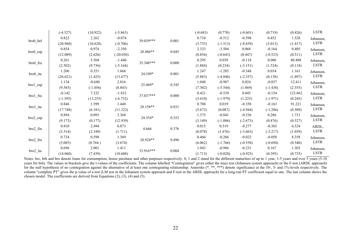|              | $(-4.527)$ | (10.922)   | $(-5.863)$  |           |       | $(-0.683)$ | (0.770)    | $(-0.601)$ | (0.719)    | (0.426) | LSTR        |
|--------------|------------|------------|-------------|-----------|-------|------------|------------|------------|------------|---------|-------------|
|              | 0.822      | 2.262      | $-0.074$    | 39.039*** |       | 0.710      | $-0.512$   | $-0.598$   | 0.452      | 1.528   | Johansen,   |
| bro0_bel     | (20.960)   | (10.628)   | $(-0.706)$  |           | 0.001 | (3.735)    | $(-1.513)$ | $(-8.839)$ | (3.013)    | (1.417) | LSTR        |
|              | 0.854      | 0.974      | $-2.350$    |           |       | 2.333      | $-3.504$   | 0.068      | $-0.164$   | 0.405   | Johansen,   |
| bro0_esp     | (12.089)   | (2.626)    | $(-20.030)$ | 28.486**  | 0.045 | (0.856)    | $(-0.643)$ | (0.447)    | $(-0.523)$ | (0.511) | LSTR        |
|              | 0.261      | 5.504      | $-1.440$    | 35.348*** |       | 0.295      | 0.039      | $-0.118$   | 0.086      | 80.488  | Johansen,   |
| bro0_fra     | (2.502)    | (9.736)    | $(-5.164)$  |           | 0.000 | (1.884)    | (0.234)    | $(-3.151)$ | (1.524)    | (0.118) | LSTR        |
|              | 1.206      | 0.351      | 1.666       |           |       | 1.247      | $-1.285$   | $-0.348$   | 0.034      | 1.161   | Johansen,   |
| bro0_ita     | (26.621)   | (1.425)    | (13.677)    | 24.109*   | 0.001 | (5.883)    | $(-4.846)$ | $(-2.357)$ | (0.138)    | (1.897) | LSTR        |
|              | 1.134      | $-0.680$   | 2.816       |           |       | 1.048      | $-0.987$   | 0.024      | $-0.037$   | 12.411  | Johansen,   |
| $brol_{esp}$ | (9.585)    | $(-1.056)$ | (8.843)     | 25.469*   | 0.345 | (7.302)    | $(-5.544)$ | (1.869)    | $(-1.438)$ | (2.355) | LSTR        |
|              | $-0.142$   | 7.332      | $-1.832$    |           | 0.000 | 0.421      | $-0.539$   | 0.045      | $-0.154$   | 123.862 | Johansen,   |
| bro1_fra     | $(-1.395)$ | (13.255)   | $(-6.732)$  | 37.037*** |       | (3.610)    | $(-1.979)$ | (1.225)    | $(-1.971)$ | (0.245) | LSTR        |
|              | 0.846      | 1.599      | 1.448       |           |       | 0.708      | 0.019      | $-0.358$   | $-0.163$   | 91.221  | Johansen,   |
| bro1_ita     | (17.748)   | (6.181)    | (11.322)    | 28.158**  | 0.031 | (5.672)    | (0.087)    | $(-4.944)$ | $(-1.286)$ | (0.509) | LSTR        |
|              | 0.894      | 0.093      | 3.368       |           |       | 1.375      | $-0.841$   | $-0.536$   | 0.286      | 1.731   | Johansen,   |
| bro2_esp     | (9.173)    | (0.177)    | (12.939)    | 24.554*   | 0.352 | (3.149)    | $(-1.086)$ | $(-2.673)$ | (0.876)    | (0.527) | LSTR        |
|              | 0.810      | 2.494      | 0.873       |           |       | 0.015      | 0.519      | $-0.277$   | $-0.365$   | 6.524   | ARDL,       |
| bro2_fin     | (3.314)    | (2.349)    | (1.711)     | 4.666     | 0.376 | (0.078)    | (1.676)    | $(-3.663)$ | $(-3.217)$ | (1.039) | <b>LSTR</b> |
|              | 0.734      | 0.590      | 1.369       |           |       | 0.466      | $-0.266$   | $-0.022$   | $-0.058$   | 8.358   | Johansen,   |
| bro2_fra     | (5.085)    | (0.764)    | (3.674)     | 28.924**  | 0.496 | (6.062)    | $(-1.766)$ | $(-0.558)$ | $(-0.694)$ | (0.540) | LSTR        |
|              | 0.696      | 2.001      | 1.411       | 33.916*** |       | 1.043      | $-0.986$   | $-0.231$   | 0.167      | 1.303   | Johansen,   |
| bro2_ita     | (14.060)   | (7.439)    | (10.608)    |           | 0.004 | (1.713)    | $(-0.820)$ | $(-0.925)$ | (0.395)    | (0.735) | LSTR        |

Notes: brc, brh and bro denote loans for consumption, house purchase and other purposes respectively. 0, 1 and 2 stand for the different maturities of up to 1 year, 1-5 years and over 5 years (5-10) years for brh). The values in brackets give the t-values of the coefficients. The column labelled "Cointegration" gives either the trace test (Johansen system approach) or the F-test (ARDL approach) for the null hypothesis of no cointegration against the alternative of at least one cointegrating relationship. Asterisks (\*, \*\*, \*\*\*) denote significance at the 10-, 5- and 1%-levels respectively. The column "complete PT" gives the p-value of a test (LM test in the Johansen system approach and F-test in the ARDL approach) for a long-run PT coefficient equal to one. The last column shows the chosen model. The coefficients are derived from Equations (2), (3), (4) and (5).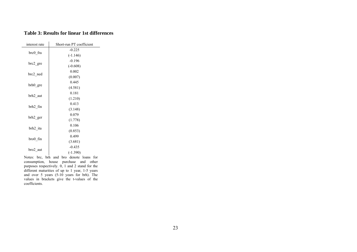#### **Table 3: Results for linear 1st differences**

| interest rate | Short-run PT coefficient |
|---------------|--------------------------|
|               | $-0.225$                 |
| brc0_fra      | $(-1.146)$               |
|               | $-0.196$                 |
| brc2_gre      | $(-0.608)$               |
|               | 0.002                    |
| brc2 ned      | (0.007)                  |
|               | 0.445                    |
| brh0_gre      | (4.581)                  |
|               | 0.181                    |
| brh2 aut      | (1.210)                  |
|               | 0.413                    |
| brh2 fin      | (3.148)                  |
|               | 0.079                    |
| brh2 ger      | (1.778)                  |
|               | 0.106                    |
| brh2 ita      | (0.853)                  |
|               | 0.499                    |
| bro0_fin      | (3.681)                  |
|               | $-0.435$                 |
| bro2 aut      | $(-1.390)$               |
|               |                          |

Notes: brc, brh and bro denote loans for consumption, house purchase and other purposes respectively. 0, 1 and 2 stand for the different maturities of up to 1 year, 1-5 years and over 5 years (5-10 years for brh). The values in brackets give the t-values of the coefficients.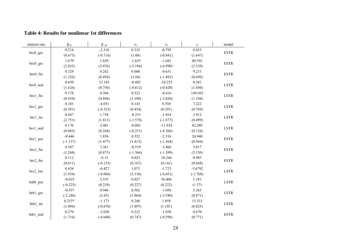#### **Table 4: Results for nonlinear 1st differences**

| interest rate | $\beta_{10}$ | $\beta_{20}$ | $\tau_1$   | $\tau_2$   | $\gamma$   | model                      |
|---------------|--------------|--------------|------------|------------|------------|----------------------------|
|               | 0.214        | $-2.310$     | 0.332      | $-0.795$   | 0.425      |                            |
| brc0 ger      | (0.675)      | $(-0.716)$   | (1.08)     | $(-0.841)$ | (1.647)    | <b>ESTR</b>                |
|               | 1.679        | 1.658        | $-1.655$   | $-1.681$   | 60.392     |                            |
| brc0_gre      | (2.855)      | (3.476)      | $(-5.186)$ | $(-6.990)$ | (2.339)    | <b>ESTR</b>                |
|               | 0.329        | 0.242        | 0.606      | $-0.631$   | 9.231      | <b>ESTR</b>                |
| brc0 fin      | (1.226)      | (0.456)      | (1.68)     | $(-1.483)$ | (0.450)    |                            |
|               | 0.650        | 12.145       | $-0.482$   | $-10.255$  | 0.541      | $\ensuremath{\text{LSTR}}$ |
| brc0_ned      | (1.626)      | (0.750)      | $(-0.812)$ | $(-0.820)$ | (1.030)    |                            |
| $brc1$ _fin   | 0.178        | 0.368        | 0.522      | $-0.416$   | 149.693    | $\ensuremath{\text{LSTR}}$ |
|               | (0.910)      | (0.896)      | (3.390)    | $(-2.020)$ | (1.194)    |                            |
| brc1_gre      | 0.103        | $-4.051$     | 0.143      | 8.550      | 7.222      | $\ensuremath{\text{LSTR}}$ |
|               | (0.281)      | $(-0.323)$   | (0.454)    | (0.391)    | (0.769)    |                            |
| brc1_ita      | 0.447        | 1.738        | $-0.253$   | $-1.014$   | 2.912      | $\ensuremath{\text{LSTR}}$ |
|               | (2.751)      | (1.811)      | $(-1.578)$ | $(-1.877)$ | (0.499)    |                            |
| brc1_ned      | 0.176        | 2.401        | $-0.082$   | $-11.934$  | 42.289     | <b>LSTR</b>                |
|               | (0.685)      | (0.244)      | $(-0.251)$ | $(-0.266)$ | (0.126)    |                            |
| brc1 por      | $-0.446$     | 1.856        | 0.552      | $-2.516$   | 24.940     | <b>ESTR</b>                |
|               | $(-1.137)$   | (1.477)      | (1.413)    | $(-1.564)$ | (0.944)    |                            |
| brc2_fin      | 0.547        | 3.361        | $-0.519$   | $-5.466$   | 5.017      | <b>ESTR</b>                |
|               | (1.268)      | (0.873)      | $(-1.366)$ | $(-1.399)$ | (3.156)    |                            |
| brc2 fra      | 0.112        | $-6.15$      | 0.023      | 18.244     | 0.983      | <b>ESTR</b>                |
|               | (0.611)      | $(-0.135)$   | (0.167)    | (0.141)    | (0.668)    |                            |
| brc2_lux      | 0.438        | $-0.427$     | 1.073      | $-1.723$   | $-5.6792$  | <b>LSTR</b>                |
|               | (1.934)      | $(-0.886)$   | (3.138)    | $(-6.051)$ | $(-1.708)$ |                            |
| brh0 por      | $-0.019$     | 3.335        | 0.027      | 56.460     | 1.181      | <b>LSTR</b>                |
|               | $(-0.225)$   | (0.239)      | (0.227)    | (0.222)    | (1.37)     |                            |
| brh1 gre      | $-0.557$     | 0.946        | 0.502      | $-1.056$   | 3.363      | $\ensuremath{\text{LSTR}}$ |
|               | $(-2.246)$   | (2.45)       | (1.864)    | $(-3.549)$ | (0.871)    |                            |
| brh1 ita      | $0.253*$     | $-1.173$     | 0.246      | 1.858      | 15.533     | $_{\rm LSTR}$              |
|               | (1.894)      | $(-0.870)$   | (1.897)    | (1.101)    | (0.825)    |                            |
|               | 0.279        | $-2.030$     | 0.222      | $-1.050$   | 0.670      | <b>ESTR</b>                |
| brh1_ned      | (1.716)      | $(-0.640)$   | (0.747)    | $(-0.598)$ | (0.771)    |                            |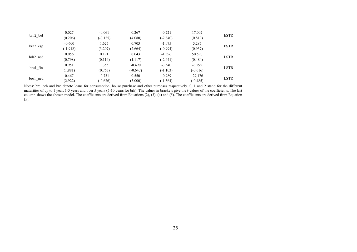|                 | 0.027      | $-0.061$   | 0.267      | $-0.721$   | 17.002     | <b>ESTR</b> |
|-----------------|------------|------------|------------|------------|------------|-------------|
| brh2 bel        | (0.206)    | $(-0.125)$ | (4.080)    | $(-2.840)$ | (0.819)    |             |
|                 | $-0.600$   | 1.625      | 0.703      | $-1.075$   | 5.285      | <b>ESTR</b> |
| brh2 esp        | $(-1.918)$ | (3.207)    | (2.664)    | $(-0.994)$ | (0.937)    |             |
|                 | 0.056      | 0.191      | 0.043      | $-1.396$   | 50.590     | <b>LSTR</b> |
| brh2 ned        | (0.798)    | (0.114)    | (1.117)    | $(-2.441)$ | (0.484)    |             |
|                 | 0.951      | 1.355      | $-0.490$   | $-3.540$   | $-3.295$   | <b>LSTR</b> |
| $b$ ro $1$ _fin | (1.881)    | (0.763)    | $(-0.647)$ | $(-1.103)$ | $(-0.616)$ |             |
|                 | 0.467      | $-0.731$   | 0.550      | $-0.989$   | $-29,176$  | <b>LSTR</b> |
| bro1 ned        | (2.922)    | $(-0.626)$ | (3.000)    | $(-1.564)$ | $(-0.485)$ |             |

Notes: brc, brh and bro denote loans for consumption, house purchase and other purposes respectively. 0, 1 and 2 stand for the different maturities of up to 1 year, 1-5 years and over 5 years (5-10 years for brh). The values in brackets give the t-values of the coefficients. The last column shows the chosen model. The coefficients are derived from Equations (2), (3), (4) and (5). The coefficients are derived from Equation (5).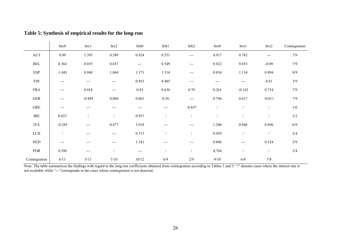|  |  | Table 5: Synthesis of empirical results for the long-run |
|--|--|----------------------------------------------------------|
|  |  |                                                          |

|                             | brc0     | brc1     | brc2                | brh0  | brh1  | brh2           | bro0   | bro1                | bro2     | Cointegration |
|-----------------------------|----------|----------|---------------------|-------|-------|----------------|--------|---------------------|----------|---------------|
| $\mathop{\rm AUT}$          | 0.89     | 1.395    | 0.589               | 0.924 | 0.531 | $---$          | 0.917  | 0.742               | $---$    | $7/9$         |
| <b>BEL</b>                  | 0.364    | 0.035    | 0.037               | $---$ | 0.549 | $---$          | 0.822  | 0.653               | $-0.09$  | 7/9           |
| <b>ESP</b>                  | $-1.681$ | 0.948    | 1.064               | 1.171 | 1.314 | $---$          | 0.854  | 1.134               | 0.894    | $8/9$         |
| ${\rm FIN}$                 | $---$    | $---$    | $\qquad \qquad - -$ | 0.953 | 0.485 | $---$          | $---$  | $\qquad \qquad - -$ | 0.81     | 3/9           |
| <b>FRA</b>                  | $---$    | 0.018    | $---$               | 0.85  | 0.636 | 0.78           | 0.261  | $-0.142$            | 0.734    | 7/9           |
| ${\tt GER}$                 | $---$    | $-0.449$ | 0.004               | 0.861 | 0.56  | $\overline{a}$ | 0.796  | 0.617               | $-0.011$ | $7/9$         |
| ${\tt GRE}$                 | $---$    | $---$    | ---                 | ---   | ---   | $-0.837$       |        |                     |          | 1/6           |
| $\operatorname{IRE}$        | 0.652    |          |                     | 0.957 |       |                |        |                     |          | $2/2\,$       |
| <b>ITA</b>                  | $-0.285$ | $---$    | 0.477               | 1.018 | $---$ | $---$          | 1.206  | 0.846               | 0.696    | $6/9$         |
| $_{\mbox{\text{LUX}}}$      |          | $---$    | $---$               | 0.713 |       |                | 0.929  |                     |          | $2/4$         |
| $\ensuremath{\mathsf{NED}}$ | $---$    | $---$    | $---$               | 1.181 | $---$ | $---$          | 0.806  | ---                 | 0.524    | 3/9           |
| POR                         | 0.396    | $---$    |                     | $---$ |       |                | 0,764  |                     |          | $2/4$         |
| Cointegration               | 6/11     | $5/11$   | $5/10$              | 10/12 | 6/9   | 2/9            | $9/10$ | $6/8$               | $7/8$    |               |

Note: The table summarizes the findings with regard to the long-run coefficients obtained from cointegration according to Tables 1 and 3. "/" denotes cases where the interest rate is not available while "---"corresponds to the cases where cointegration is not detected.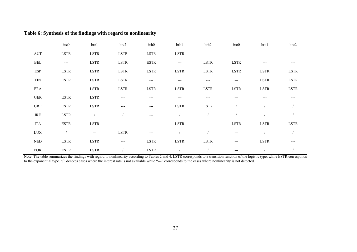|                             | brc0        | brc1        | brc2          | brh0        | brh1          | brh2           | bro0                | bro1          | bro2                |
|-----------------------------|-------------|-------------|---------------|-------------|---------------|----------------|---------------------|---------------|---------------------|
| AUT                         | <b>LSTR</b> | <b>LSTR</b> | $_{\rm LSTR}$ | <b>LSTR</b> | $_{\rm LSTR}$ | $---$          | ---                 | $---$         | $---$               |
| $\operatorname{BEL}$        | $---$       | <b>LSTR</b> | $_{\rm LSTR}$ | <b>ESTR</b> | $---$         | <b>LSTR</b>    | $_{\rm LSTR}$       | $---$         | $\qquad \qquad - -$ |
| ESP                         | <b>LSTR</b> | <b>LSTR</b> | <b>LSTR</b>   | <b>LSTR</b> | <b>LSTR</b>   | <b>LSTR</b>    | LSTR                | $_{\rm LSTR}$ | LSTR                |
| $\ensuremath{\mathrm{FIN}}$ | <b>ESTR</b> | <b>LSTR</b> | <b>LSTR</b>   | $---$       | ---           | $---$          | $---$               | LSTR          | LSTR                |
| FRA                         | $--$        | <b>LSTR</b> | $_{\rm LSTR}$ | <b>LSTR</b> | $_{\rm LSTR}$ | $_{\rm LSTR}$  | $_{\rm LSTR}$       | $_{\rm LSTR}$ | <b>LSTR</b>         |
| GER                         | <b>ESTR</b> | <b>LSTR</b> | $---$         | ---         | ---           | $---$          | ---                 | $---$         | $---$               |
| GRE                         | <b>ESTR</b> | <b>LSTR</b> | $---$         | ---         | <b>LSTR</b>   | <b>LSTR</b>    |                     |               |                     |
| IRE                         | <b>LSTR</b> |             |               | $---$       |               |                |                     |               |                     |
| <b>ITA</b>                  | <b>ESTR</b> | <b>LSTR</b> | $---$         | $---$       | <b>LSTR</b>   | $\overline{a}$ | <b>LSTR</b>         | <b>LSTR</b>   | <b>LSTR</b>         |
| LUX                         |             | $---$       | <b>LSTR</b>   | $---$       |               |                | $\qquad \qquad - -$ |               |                     |
| <b>NED</b>                  | <b>LSTR</b> | <b>LSTR</b> | $---$         | <b>LSTR</b> | <b>LSTR</b>   | <b>LSTR</b>    | $---$               | <b>LSTR</b>   | $---$               |
| POR                         | <b>ESTR</b> | <b>ESTR</b> |               | <b>LSTR</b> |               |                | $---$               |               |                     |

# **Table 6: Synthesis of the findings with regard to nonlinearity**

Note: The table summarizes the findings with regard to nonlinearity according to Tables 2 and 4. LSTR corresponds to a transition function of the logistic type, while ESTR corresponds to the exponential type. "/" denotes cases where the interest rate is not available while "---" corresponds to the cases where nonlinearity is not detected.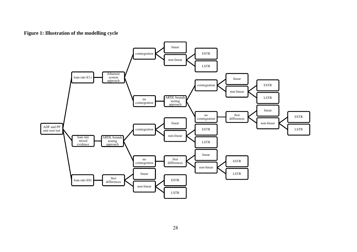# **Figure 1: Illustration of the modelling cycle**

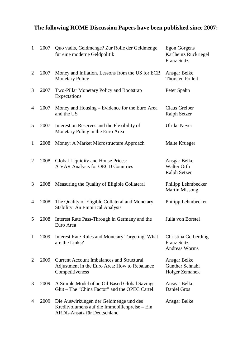# **The following ROME Discussion Papers have been published since 2007:**

| $\mathbf{1}$   | 2007 | Quo vadis, Geldmenge? Zur Rolle der Geldmenge<br>für eine moderne Geldpolitik                                          | Egon Görgens<br>Karlheinz Ruckriegel<br><b>Franz Seitz</b>      |
|----------------|------|------------------------------------------------------------------------------------------------------------------------|-----------------------------------------------------------------|
| 2              | 2007 | Money and Inflation. Lessons from the US for ECB<br><b>Monetary Policy</b>                                             | Ansgar Belke<br><b>Thorsten Polleit</b>                         |
| 3              | 2007 | Two-Pillar Monetary Policy and Bootstrap<br>Expectations                                                               | Peter Spahn                                                     |
| 4              | 2007 | Money and Housing - Evidence for the Euro Area<br>and the US                                                           | Claus Greiber<br><b>Ralph Setzer</b>                            |
| 5              | 2007 | Interest on Reserves and the Flexibility of<br>Monetary Policy in the Euro Area                                        | Ulrike Neyer                                                    |
| $\mathbf{1}$   | 2008 | Money: A Market Microstructure Approach                                                                                | Malte Krueger                                                   |
| $\overline{2}$ | 2008 | Global Liquidity and House Prices:<br>A VAR Analysis for OECD Countries                                                | Ansgar Belke<br><b>Walter Orth</b><br><b>Ralph Setzer</b>       |
| 3              | 2008 | Measuring the Quality of Eligible Collateral                                                                           | Philipp Lehmbecker<br><b>Martin Missong</b>                     |
| 4              | 2008 | The Quality of Eligible Collateral and Monetary<br><b>Stability: An Empirical Analysis</b>                             | Philipp Lehmbecker                                              |
| 5              | 2008 | Interest Rate Pass-Through in Germany and the<br>Euro Area                                                             | Julia von Borstel                                               |
| 1              | 2009 | <b>Interest Rate Rules and Monetary Targeting: What</b><br>are the Links?                                              | Christina Gerberding<br><b>Franz Seitz</b><br>Andreas Worms     |
| $\overline{2}$ | 2009 | <b>Current Account Imbalances and Structural</b><br>Adjustment in the Euro Area: How to Rebalance<br>Competitiveness   | Ansgar Belke<br><b>Gunther Schnabl</b><br><b>Holger Zemanek</b> |
| 3              | 2009 | A Simple Model of an Oil Based Global Savings<br>Glut – The "China Factor" and the OPEC Cartel                         | Ansgar Belke<br>Daniel Gros                                     |
| $\overline{4}$ | 2009 | Die Auswirkungen der Geldmenge und des<br>Kreditvolumens auf die Immobilienpreise – Ein<br>ARDL-Ansatz für Deutschland | Ansgar Belke                                                    |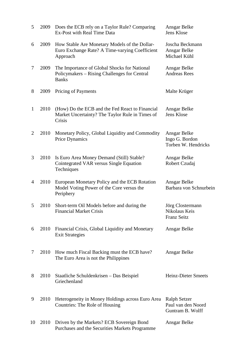| 5            | 2009 | Does the ECB rely on a Taylor Rule? Comparing<br>Ex-Post with Real Time Data                                 | Ansgar Belke<br>Jens Klose                                    |
|--------------|------|--------------------------------------------------------------------------------------------------------------|---------------------------------------------------------------|
| 6            | 2009 | How Stable Are Monetary Models of the Dollar-<br>Euro Exchange Rate? A Time-varying Coefficient<br>Approach  | Joscha Beckmann<br>Ansgar Belke<br>Michael Kühl               |
| 7            | 2009 | The Importance of Global Shocks for National<br>Policymakers - Rising Challenges for Central<br><b>Banks</b> | Ansgar Belke<br><b>Andreas Rees</b>                           |
| 8            | 2009 | <b>Pricing of Payments</b>                                                                                   | Malte Krüger                                                  |
| $\mathbf{1}$ | 2010 | (How) Do the ECB and the Fed React to Financial<br>Market Uncertainty? The Taylor Rule in Times of<br>Crisis | Ansgar Belke<br>Jens Klose                                    |
| 2            | 2010 | Monetary Policy, Global Liquidity and Commodity<br>Price Dynamics                                            | Ansgar Belke<br>Ingo G. Bordon<br>Torben W. Hendricks         |
| 3            | 2010 | Is Euro Area Money Demand (Still) Stable?<br>Cointegrated VAR versus Single Equation<br>Techniques           | Ansgar Belke<br>Robert Czudaj                                 |
| 4            | 2010 | European Monetary Policy and the ECB Rotation<br>Model Voting Power of the Core versus the<br>Periphery      | Ansgar Belke<br>Barbara von Schnurbein                        |
| 5            | 2010 | Short-term Oil Models before and during the<br><b>Financial Market Crisis</b>                                | Jörg Clostermann<br>Nikolaus Keis<br><b>Franz Seitz</b>       |
| 6            | 2010 | Financial Crisis, Global Liquidity and Monetary<br><b>Exit Strategies</b>                                    | Ansgar Belke                                                  |
| 7            | 2010 | How much Fiscal Backing must the ECB have?<br>The Euro Area is not the Philippines                           | Ansgar Belke                                                  |
| 8            | 2010 | Staatliche Schuldenkrisen – Das Beispiel<br>Griechenland                                                     | <b>Heinz-Dieter Smeets</b>                                    |
| 9            | 2010 | Heterogeneity in Money Holdings across Euro Area<br>Countries: The Role of Housing                           | <b>Ralph Setzer</b><br>Paul van den Noord<br>Guntram B. Wolff |
| 10           | 2010 | Driven by the Markets? ECB Sovereign Bond<br>Purchases and the Securities Markets Programme                  | Ansgar Belke                                                  |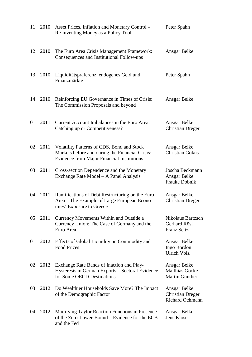| 11 | 2010 | Asset Prices, Inflation and Monetary Control –<br>Re-inventing Money as a Policy Tool                                                              | Peter Spahn                                                |
|----|------|----------------------------------------------------------------------------------------------------------------------------------------------------|------------------------------------------------------------|
| 12 | 2010 | The Euro Area Crisis Management Framework:<br>Consequences and Institutional Follow-ups                                                            | Ansgar Belke                                               |
| 13 | 2010 | Liquiditätspräferenz, endogenes Geld und<br>Finanzmärkte                                                                                           | Peter Spahn                                                |
| 14 | 2010 | Reinforcing EU Governance in Times of Crisis:<br>The Commission Proposals and beyond                                                               | Ansgar Belke                                               |
| 01 | 2011 | Current Account Imbalances in the Euro Area:<br>Catching up or Competitiveness?                                                                    | Ansgar Belke<br><b>Christian Dreger</b>                    |
| 02 | 2011 | Volatility Patterns of CDS, Bond and Stock<br>Markets before and during the Financial Crisis:<br><b>Evidence from Major Financial Institutions</b> | Ansgar Belke<br><b>Christian Gokus</b>                     |
| 03 | 2011 | Cross-section Dependence and the Monetary<br>Exchange Rate Model – A Panel Analysis                                                                | Joscha Beckmann<br>Ansgar Belke<br>Frauke Dobnik           |
| 04 | 2011 | Ramifications of Debt Restructuring on the Euro<br>Area – The Example of Large European Econo-<br>mies' Exposure to Greece                         | Ansgar Belke<br><b>Christian Dreger</b>                    |
| 05 | 2011 | Currency Movements Within and Outside a<br>Currency Union: The Case of Germany and the<br>Euro Area                                                | Nikolaus Bartzsch<br>Gerhard Rösl<br><b>Franz Seitz</b>    |
| 01 | 2012 | Effects of Global Liquidity on Commodity and<br><b>Food Prices</b>                                                                                 | Ansgar Belke<br>Ingo Bordon<br><b>Ulrich Volz</b>          |
| 02 | 2012 | Exchange Rate Bands of Inaction and Play-<br>Hysteresis in German Exports - Sectoral Evidence<br>for Some OECD Destinations                        | Ansgar Belke<br>Matthias Göcke<br>Martin Günther           |
| 03 | 2012 | Do Wealthier Households Save More? The Impact<br>of the Demographic Factor                                                                         | Ansgar Belke<br><b>Christian Dreger</b><br>Richard Ochmann |
| 04 | 2012 | Modifying Taylor Reaction Functions in Presence<br>of the Zero-Lower-Bound – Evidence for the ECB<br>and the Fed                                   | Ansgar Belke<br>Jens Klose                                 |